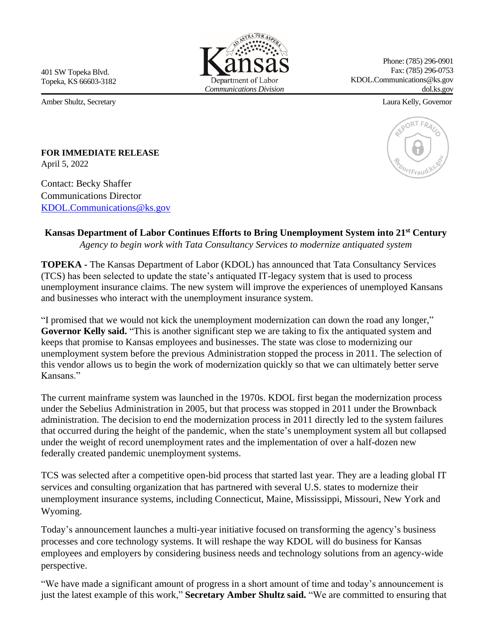401 SW Topeka Blvd. Topeka, KS 66603-3182

Amber Shultz, Secretary Laura Kelly, Governor



Phone: (785) 296-0901 Fax: (785) 296-0753 KDOL.Communications@ks.gov dol.ks.gov



**FOR IMMEDIATE RELEASE**  April 5, 2022

Contact: Becky Shaffer Communications Director KDOL.Communications@ks.gov

## **Kansas Department of Labor Continues Efforts to Bring Unemployment System into 21st Century**

*Agency to begin work with Tata Consultancy Services to modernize antiquated system*

**TOPEKA -** The Kansas Department of Labor (KDOL) has announced that Tata Consultancy Services (TCS) has been selected to update the state's antiquated IT-legacy system that is used to process unemployment insurance claims. The new system will improve the experiences of unemployed Kansans and businesses who interact with the unemployment insurance system.

"I promised that we would not kick the unemployment modernization can down the road any longer," **Governor Kelly said.** "This is another significant step we are taking to fix the antiquated system and keeps that promise to Kansas employees and businesses. The state was close to modernizing our unemployment system before the previous Administration stopped the process in 2011. The selection of this vendor allows us to begin the work of modernization quickly so that we can ultimately better serve Kansans."

The current mainframe system was launched in the 1970s. KDOL first began the modernization process under the Sebelius Administration in 2005, but that process was stopped in 2011 under the Brownback administration. The decision to end the modernization process in 2011 directly led to the system failures that occurred during the height of the pandemic, when the state's unemployment system all but collapsed under the weight of record unemployment rates and the implementation of over a half-dozen new federally created pandemic unemployment systems.

TCS was selected after a competitive open-bid process that started last year. They are a leading global IT services and consulting organization that has partnered with several U.S. states to modernize their unemployment insurance systems, including Connecticut, Maine, Mississippi, Missouri, New York and Wyoming.

Today's announcement launches a multi-year initiative focused on transforming the agency's business processes and core technology systems. It will reshape the way KDOL will do business for Kansas employees and employers by considering business needs and technology solutions from an agency-wide perspective.

"We have made a significant amount of progress in a short amount of time and today's announcement is just the latest example of this work," **Secretary Amber Shultz said.** "We are committed to ensuring that